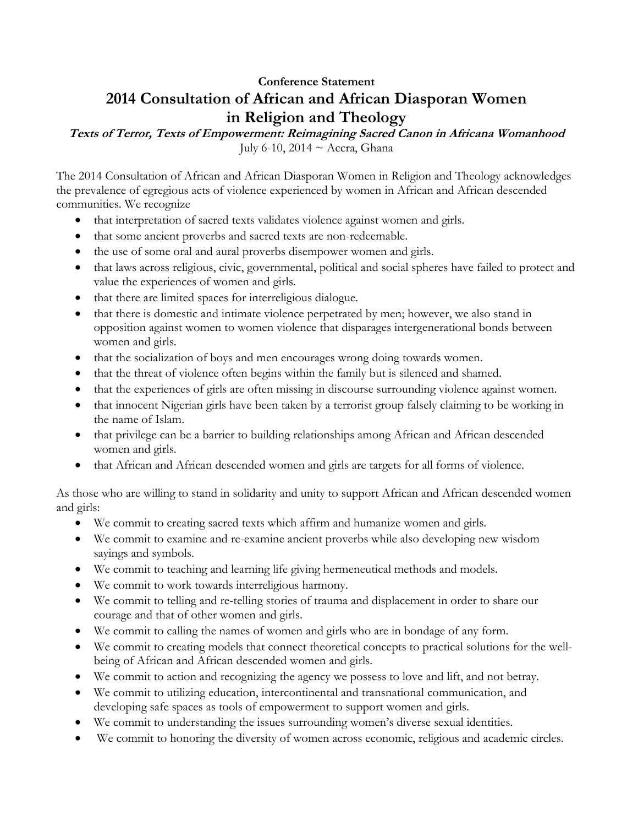## **Conference Statement 2014 Consultation of African and African Diasporan Women in Religion and Theology**

**Texts of Terror, Texts of Empowerment: Reimagining Sacred Canon in Africana Womanhood** July 6-10, 2014 ~ Accra, Ghana

The 2014 Consultation of African and African Diasporan Women in Religion and Theology acknowledges the prevalence of egregious acts of violence experienced by women in African and African descended communities. We recognize

- that interpretation of sacred texts validates violence against women and girls.
- that some ancient proverbs and sacred texts are non-redeemable.
- the use of some oral and aural proverbs disempower women and girls.
- that laws across religious, civic, governmental, political and social spheres have failed to protect and value the experiences of women and girls.
- that there are limited spaces for interreligious dialogue.
- that there is domestic and intimate violence perpetrated by men; however, we also stand in opposition against women to women violence that disparages intergenerational bonds between women and girls.
- that the socialization of boys and men encourages wrong doing towards women.
- that the threat of violence often begins within the family but is silenced and shamed.
- that the experiences of girls are often missing in discourse surrounding violence against women.
- that innocent Nigerian girls have been taken by a terrorist group falsely claiming to be working in the name of Islam.
- that privilege can be a barrier to building relationships among African and African descended women and girls.
- that African and African descended women and girls are targets for all forms of violence.

As those who are willing to stand in solidarity and unity to support African and African descended women and girls:

- We commit to creating sacred texts which affirm and humanize women and girls.
- We commit to examine and re-examine ancient proverbs while also developing new wisdom sayings and symbols.
- We commit to teaching and learning life giving hermeneutical methods and models.
- We commit to work towards interreligious harmony.
- We commit to telling and re-telling stories of trauma and displacement in order to share our courage and that of other women and girls.
- We commit to calling the names of women and girls who are in bondage of any form.
- We commit to creating models that connect theoretical concepts to practical solutions for the wellbeing of African and African descended women and girls.
- We commit to action and recognizing the agency we possess to love and lift, and not betray.
- We commit to utilizing education, intercontinental and transnational communication, and developing safe spaces as tools of empowerment to support women and girls.
- We commit to understanding the issues surrounding women's diverse sexual identities.
- We commit to honoring the diversity of women across economic, religious and academic circles.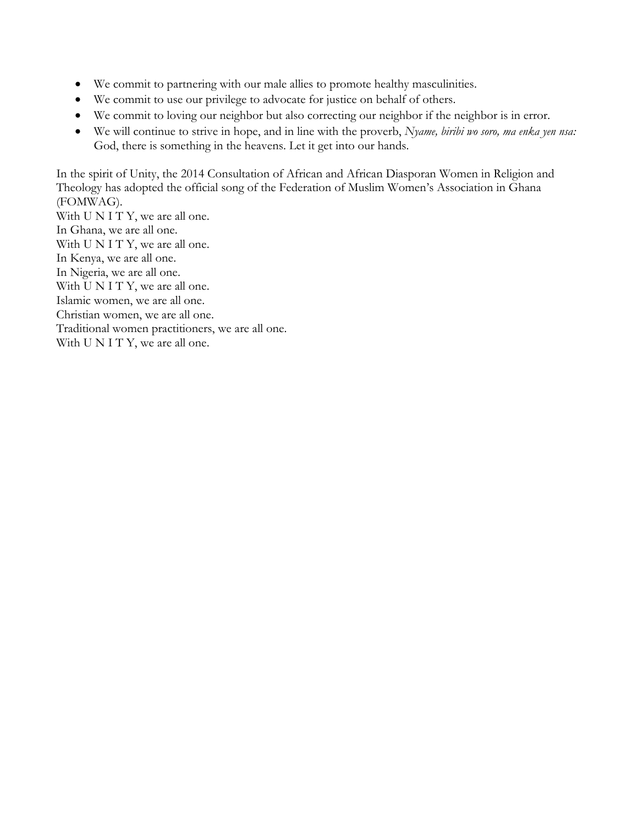- We commit to partnering with our male allies to promote healthy masculinities.
- We commit to use our privilege to advocate for justice on behalf of others.
- We commit to loving our neighbor but also correcting our neighbor if the neighbor is in error.
- We will continue to strive in hope, and in line with the proverb, *Nyame, biribi wo soro, ma enka yen nsa:* God, there is something in the heavens. Let it get into our hands.

In the spirit of Unity, the 2014 Consultation of African and African Diasporan Women in Religion and Theology has adopted the official song of the Federation of Muslim Women's Association in Ghana (FOMWAG).

With U N I T Y, we are all one. In Ghana, we are all one. With U N I T Y, we are all one. In Kenya, we are all one. In Nigeria, we are all one. With U N I T Y, we are all one. Islamic women, we are all one. Christian women, we are all one. Traditional women practitioners, we are all one. With U N I T Y, we are all one.